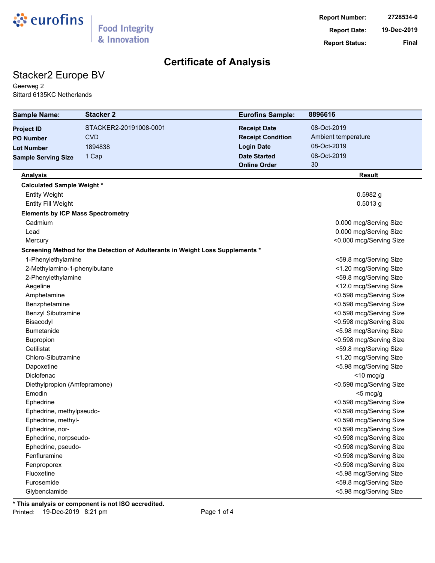

## Stacker2 Europe BV

Geerweg 2 Sittard 6135KC Netherlands

| <b>Sample Name:</b>                      | <b>Stacker 2</b>                                                               | <b>Eurofins Sample:</b>  | 8896616                 |
|------------------------------------------|--------------------------------------------------------------------------------|--------------------------|-------------------------|
| <b>Project ID</b>                        | STACKER2-20191008-0001                                                         | <b>Receipt Date</b>      | 08-Oct-2019             |
| <b>PO Number</b>                         | <b>CVD</b>                                                                     | <b>Receipt Condition</b> | Ambient temperature     |
| <b>Lot Number</b>                        | 1894838                                                                        | <b>Login Date</b>        | 08-Oct-2019             |
| <b>Sample Serving Size</b>               | 1 Cap                                                                          | <b>Date Started</b>      | 08-Oct-2019             |
|                                          |                                                                                | <b>Online Order</b>      | 30                      |
| <b>Analysis</b>                          |                                                                                |                          | <b>Result</b>           |
| <b>Calculated Sample Weight *</b>        |                                                                                |                          |                         |
| <b>Entity Weight</b>                     |                                                                                |                          | $0.5982$ g              |
| <b>Entity Fill Weight</b>                |                                                                                |                          | $0.5013$ g              |
| <b>Elements by ICP Mass Spectrometry</b> |                                                                                |                          |                         |
| Cadmium                                  |                                                                                |                          | 0.000 mcg/Serving Size  |
| Lead                                     |                                                                                |                          | 0.000 mcg/Serving Size  |
| Mercury                                  |                                                                                |                          | <0.000 mcg/Serving Size |
|                                          | Screening Method for the Detection of Adulterants in Weight Loss Supplements * |                          |                         |
| 1-Phenylethylamine                       |                                                                                |                          | <59.8 mcg/Serving Size  |
| 2-Methylamino-1-phenylbutane             |                                                                                |                          | <1.20 mcg/Serving Size  |
| 2-Phenylethylamine                       |                                                                                |                          | <59.8 mcg/Serving Size  |
| Aegeline                                 |                                                                                |                          | <12.0 mcg/Serving Size  |
| Amphetamine                              |                                                                                |                          | <0.598 mcg/Serving Size |
| Benzphetamine                            |                                                                                |                          | <0.598 mcg/Serving Size |
| <b>Benzyl Sibutramine</b>                |                                                                                |                          | <0.598 mcg/Serving Size |
| Bisacodyl                                |                                                                                |                          | <0.598 mcg/Serving Size |
| <b>Bumetanide</b>                        |                                                                                |                          | <5.98 mcg/Serving Size  |
| Bupropion                                |                                                                                |                          | <0.598 mcg/Serving Size |
| Cetilistat                               |                                                                                |                          | <59.8 mcg/Serving Size  |
| Chloro-Sibutramine                       |                                                                                |                          | <1.20 mcg/Serving Size  |
| Dapoxetine                               |                                                                                |                          | <5.98 mcg/Serving Size  |
| Diclofenac                               |                                                                                |                          | $<$ 10 mcg/g            |
| Diethylpropion (Amfepramone)             |                                                                                |                          | <0.598 mcg/Serving Size |
| Emodin                                   |                                                                                |                          | $<$ 5 mcg/g             |
| Ephedrine                                |                                                                                |                          | <0.598 mcg/Serving Size |
| Ephedrine, methylpseudo-                 |                                                                                |                          | <0.598 mcg/Serving Size |
| Ephedrine, methyl-                       |                                                                                |                          | <0.598 mcg/Serving Size |
| Ephedrine, nor-                          |                                                                                |                          | <0.598 mcg/Serving Size |
| Ephedrine, norpseudo-                    |                                                                                |                          | <0.598 mcg/Serving Size |
| Ephedrine, pseudo-                       |                                                                                |                          | <0.598 mcg/Serving Size |
| Fenfluramine                             |                                                                                |                          | <0.598 mcg/Serving Size |
| Fenproporex                              |                                                                                |                          | <0.598 mcg/Serving Size |
| Fluoxetine                               |                                                                                |                          | <5.98 mcg/Serving Size  |
| Furosemide                               |                                                                                |                          | <59.8 mcg/Serving Size  |
| Glybenclamide                            |                                                                                |                          | <5.98 mcg/Serving Size  |

**\* This analysis or component is not ISO accredited.** Printed: 19-Dec-2019 8:21 pm example 1 and 2010 Page 1 of 4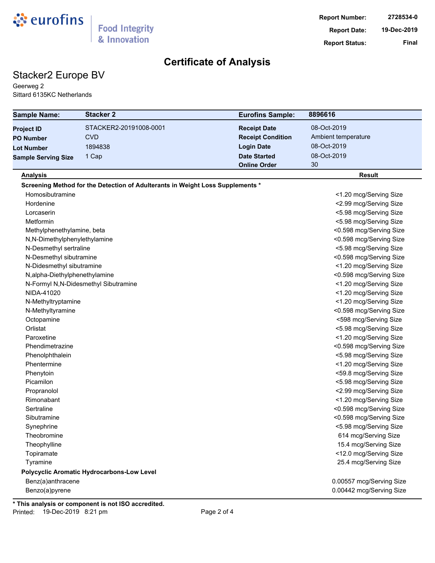

## Stacker2 Europe BV

Geerweg 2 Sittard 6135KC Netherlands

| <b>Sample Name:</b>            | <b>Stacker 2</b>                                                               | <b>Eurofins Sample:</b>  | 8896616                  |
|--------------------------------|--------------------------------------------------------------------------------|--------------------------|--------------------------|
| <b>Project ID</b>              | STACKER2-20191008-0001                                                         | <b>Receipt Date</b>      | 08-Oct-2019              |
| <b>PO Number</b>               | <b>CVD</b>                                                                     | <b>Receipt Condition</b> | Ambient temperature      |
| <b>Lot Number</b>              | 1894838                                                                        | <b>Login Date</b>        | 08-Oct-2019              |
| <b>Sample Serving Size</b>     | 1 Cap                                                                          | <b>Date Started</b>      | 08-Oct-2019              |
|                                |                                                                                | <b>Online Order</b>      | 30                       |
| <b>Analysis</b>                |                                                                                |                          | <b>Result</b>            |
|                                | Screening Method for the Detection of Adulterants in Weight Loss Supplements * |                          |                          |
| Homosibutramine                |                                                                                |                          | <1.20 mcg/Serving Size   |
| Hordenine                      |                                                                                |                          | <2.99 mcg/Serving Size   |
| Lorcaserin                     |                                                                                |                          | <5.98 mcg/Serving Size   |
| Metformin                      |                                                                                |                          | <5.98 mcg/Serving Size   |
| Methylphenethylamine, beta     |                                                                                |                          | <0.598 mcg/Serving Size  |
| N,N-Dimethylphenylethylamine   |                                                                                |                          | <0.598 mcg/Serving Size  |
| N-Desmethyl sertraline         |                                                                                |                          | <5.98 mcg/Serving Size   |
| N-Desmethyl sibutramine        |                                                                                |                          | <0.598 mcg/Serving Size  |
| N-Didesmethyl sibutramine      |                                                                                |                          | <1.20 mcg/Serving Size   |
| N, alpha-Diethylphenethylamine |                                                                                |                          | <0.598 mcg/Serving Size  |
|                                | N-Formyl N,N-Didesmethyl Sibutramine                                           |                          | <1.20 mcg/Serving Size   |
| NIDA-41020                     |                                                                                |                          | <1.20 mcg/Serving Size   |
| N-Methyltryptamine             |                                                                                |                          | <1.20 mcg/Serving Size   |
| N-Methyltyramine               |                                                                                |                          | <0.598 mcg/Serving Size  |
| Octopamine                     |                                                                                |                          | <598 mcg/Serving Size    |
| Orlistat                       |                                                                                |                          | <5.98 mcg/Serving Size   |
| Paroxetine                     |                                                                                |                          | <1.20 mcg/Serving Size   |
| Phendimetrazine                |                                                                                |                          | <0.598 mcg/Serving Size  |
| Phenolphthalein                |                                                                                |                          | <5.98 mcg/Serving Size   |
| Phentermine                    |                                                                                |                          | <1.20 mcg/Serving Size   |
| Phenytoin                      |                                                                                |                          | <59.8 mcg/Serving Size   |
| Picamilon                      |                                                                                |                          | <5.98 mcg/Serving Size   |
| Propranolol                    |                                                                                |                          | <2.99 mcg/Serving Size   |
| Rimonabant                     |                                                                                |                          | <1.20 mcg/Serving Size   |
| Sertraline                     |                                                                                |                          | <0.598 mcg/Serving Size  |
| Sibutramine                    |                                                                                |                          | <0.598 mcg/Serving Size  |
| Synephrine                     |                                                                                |                          | <5.98 mcg/Serving Size   |
| Theobromine                    |                                                                                |                          | 614 mcg/Serving Size     |
| Theophylline                   |                                                                                |                          | 15.4 mcg/Serving Size    |
| Topiramate                     |                                                                                |                          | <12.0 mcg/Serving Size   |
| Tyramine                       |                                                                                |                          | 25.4 mcg/Serving Size    |
|                                | Polycyclic Aromatic Hydrocarbons-Low Level                                     |                          |                          |
| Benz(a)anthracene              |                                                                                |                          | 0.00557 mcg/Serving Size |
| Benzo(a)pyrene                 |                                                                                |                          | 0.00442 mcg/Serving Size |

**\* This analysis or component is not ISO accredited.** Printed: 19-Dec-2019 8:21 pm example 2 of 4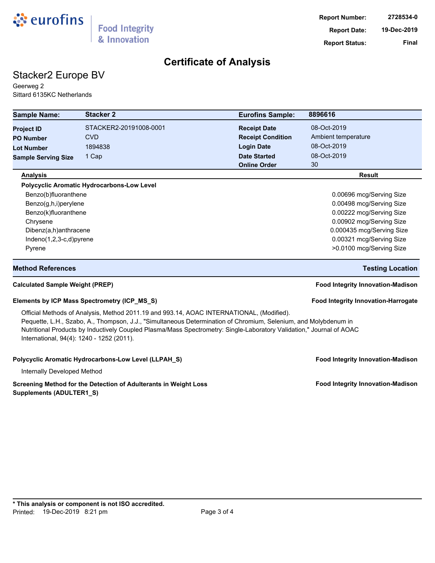

# Stacker2 Europe BV

Geerweg 2 Sittard 6135KC Netherlands

| <b>Sample Name:</b>                                                                                                                                                                                                                                                                                                                                                              | <b>Stacker 2</b>                                     | <b>Eurofins Sample:</b>  | 8896616                                  |  |  |
|----------------------------------------------------------------------------------------------------------------------------------------------------------------------------------------------------------------------------------------------------------------------------------------------------------------------------------------------------------------------------------|------------------------------------------------------|--------------------------|------------------------------------------|--|--|
| <b>Project ID</b>                                                                                                                                                                                                                                                                                                                                                                | STACKER2-20191008-0001                               | <b>Receipt Date</b>      | 08-Oct-2019                              |  |  |
| <b>PO Number</b>                                                                                                                                                                                                                                                                                                                                                                 | <b>CVD</b>                                           | <b>Receipt Condition</b> | Ambient temperature                      |  |  |
| <b>Lot Number</b>                                                                                                                                                                                                                                                                                                                                                                | 1894838                                              | <b>Login Date</b>        | 08-Oct-2019                              |  |  |
| <b>Sample Serving Size</b>                                                                                                                                                                                                                                                                                                                                                       | 1 Cap                                                | <b>Date Started</b>      | 08-Oct-2019                              |  |  |
|                                                                                                                                                                                                                                                                                                                                                                                  |                                                      | <b>Online Order</b>      | 30                                       |  |  |
| <b>Analysis</b>                                                                                                                                                                                                                                                                                                                                                                  |                                                      |                          | <b>Result</b>                            |  |  |
|                                                                                                                                                                                                                                                                                                                                                                                  | Polycyclic Aromatic Hydrocarbons-Low Level           |                          |                                          |  |  |
| Benzo(b)fluoranthene                                                                                                                                                                                                                                                                                                                                                             |                                                      |                          | 0.00696 mcg/Serving Size                 |  |  |
| Benzo(g,h,i)perylene                                                                                                                                                                                                                                                                                                                                                             |                                                      |                          | 0.00498 mcg/Serving Size                 |  |  |
| Benzo(k)fluoranthene                                                                                                                                                                                                                                                                                                                                                             |                                                      |                          | 0.00222 mcg/Serving Size                 |  |  |
| Chrysene                                                                                                                                                                                                                                                                                                                                                                         |                                                      |                          | 0.00902 mcg/Serving Size                 |  |  |
| Dibenz(a,h)anthracene                                                                                                                                                                                                                                                                                                                                                            |                                                      |                          | 0.000435 mcg/Serving Size                |  |  |
| Indeno(1,2,3-c,d)pyrene                                                                                                                                                                                                                                                                                                                                                          |                                                      |                          | 0.00321 mcg/Serving Size                 |  |  |
| Pyrene                                                                                                                                                                                                                                                                                                                                                                           |                                                      |                          | >0.0100 mcg/Serving Size                 |  |  |
| <b>Method References</b>                                                                                                                                                                                                                                                                                                                                                         |                                                      |                          | <b>Testing Location</b>                  |  |  |
| <b>Calculated Sample Weight (PREP)</b>                                                                                                                                                                                                                                                                                                                                           |                                                      |                          | <b>Food Integrity Innovation-Madison</b> |  |  |
|                                                                                                                                                                                                                                                                                                                                                                                  | Elements by ICP Mass Spectrometry (ICP_MS_S)         |                          | Food Integrity Innovation-Harrogate      |  |  |
| Official Methods of Analysis, Method 2011.19 and 993.14, AOAC INTERNATIONAL, (Modified).<br>Pequette, L.H., Szabo, A., Thompson, J.J., "Simultaneous Determination of Chromium, Selenium, and Molybdenum in<br>Nutritional Products by Inductively Coupled Plasma/Mass Spectrometry: Single-Laboratory Validation," Journal of AOAC<br>International, 94(4): 1240 - 1252 (2011). |                                                      |                          |                                          |  |  |
|                                                                                                                                                                                                                                                                                                                                                                                  | Polycyclic Aromatic Hydrocarbons-Low Level (LLPAH_S) |                          | <b>Food Integrity Innovation-Madison</b> |  |  |
| Internally Developed Method                                                                                                                                                                                                                                                                                                                                                      |                                                      |                          |                                          |  |  |

#### Screening Method for the Detection of Adulterants in Weight Loss **Food Integrity Innovation-Madison Supplements (ADULTER1\_S)**